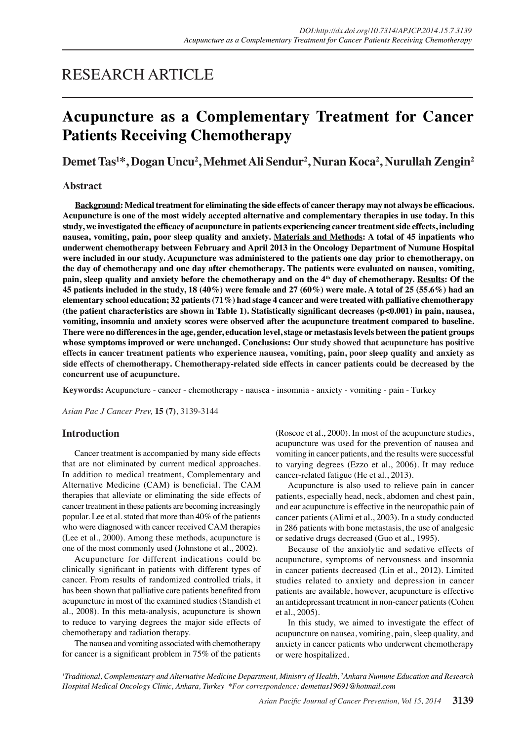## RESEARCH ARTICLE

# **Acupuncture as a Complementary Treatment for Cancer Patients Receiving Chemotherapy**

**Demet Tas<sup>1</sup> \*, Dogan Uncu2 , Mehmet Ali Sendur<sup>2</sup> , Nuran Koca2 , Nurullah Zengin2**

#### **Abstract**

**Background: Medical treatment for eliminating the side effects of cancer therapy may not always be efficacious. Acupuncture is one of the most widely accepted alternative and complementary therapies in use today. In this study, we investigated the efficacy of acupuncture in patients experiencing cancer treatment side effects, including nausea, vomiting, pain, poor sleep quality and anxiety. Materials and Methods: A total of 45 inpatients who underwent chemotherapy between February and April 2013 in the Oncology Department of Numune Hospital were included in our study. Acupuncture was administered to the patients one day prior to chemotherapy, on the day of chemotherapy and one day after chemotherapy. The patients were evaluated on nausea, vomiting, pain, sleep quality and anxiety before the chemotherapy and on the 4th day of chemotherapy. Results: Of the 45 patients included in the study, 18 (40%) were female and 27 (60%) were male. A total of 25 (55.6%) had an elementary school education; 32 patients (71%) had stage 4 cancer and were treated with palliative chemotherapy (the patient characteristics are shown in Table 1). Statistically significant decreases (p<0.001) in pain, nausea, vomiting, insomnia and anxiety scores were observed after the acupuncture treatment compared to baseline. There were no differences in the age, gender, education level, stage or metastasis levels between the patient groups whose symptoms improved or were unchanged. Conclusions: Our study showed that acupuncture has positive effects in cancer treatment patients who experience nausea, vomiting, pain, poor sleep quality and anxiety as side effects of chemotherapy. Chemotherapy-related side effects in cancer patients could be decreased by the concurrent use of acupuncture.** 

**Keywords:** Acupuncture - cancer - chemotherapy - nausea - insomnia - anxiety - vomiting - pain - Turkey

*Asian Pac J Cancer Prev,* **15 (7)**, 3139-3144

## **Introduction**

Cancer treatment is accompanied by many side effects that are not eliminated by current medical approaches. In addition to medical treatment, Complementary and Alternative Medicine (CAM) is beneficial. The CAM therapies that alleviate or eliminating the side effects of cancer treatment in these patients are becoming increasingly popular. Lee et al. stated that more than 40% of the patients who were diagnosed with cancer received CAM therapies (Lee et al., 2000). Among these methods, acupuncture is one of the most commonly used (Johnstone et al., 2002).

Acupuncture for different indications could be clinically significant in patients with different types of cancer. From results of randomized controlled trials, it has been shown that palliative care patients benefited from acupuncture in most of the examined studies (Standish et al., 2008). In this meta-analysis, acupuncture is shown to reduce to varying degrees the major side effects of chemotherapy and radiation therapy.

The nausea and vomiting associated with chemotherapy for cancer is a significant problem in 75% of the patients

(Roscoe et al., 2000). In most of the acupuncture studies, acupuncture was used for the prevention of nausea and vomiting in cancer patients, and the results were successful to varying degrees (Ezzo et al., 2006). It may reduce cancer-related fatigue (He et al., 2013).

Acupuncture is also used to relieve pain in cancer patients, especially head, neck, abdomen and chest pain, and ear acupuncture is effective in the neuropathic pain of cancer patients (Alimi et al., 2003). In a study conducted in 286 patients with bone metastasis, the use of analgesic or sedative drugs decreased (Guo et al., 1995).

Because of the anxiolytic and sedative effects of acupuncture, symptoms of nervousness and insomnia in cancer patients decreased (Lin et al., 2012). Limited studies related to anxiety and depression in cancer patients are available, however, acupuncture is effective an antidepressant treatment in non-cancer patients (Cohen et al., 2005).

In this study, we aimed to investigate the effect of acupuncture on nausea, vomiting, pain, sleep quality, and anxiety in cancer patients who underwent chemotherapy or were hospitalized.

*1 Traditional, Complementary and Alternative Medicine Department, Ministry of Health, 2 Ankara Numune Education and Research Hospital Medical Oncology Clinic, Ankara, Turkey \*For correspondence: demettas19691@hotmail.com*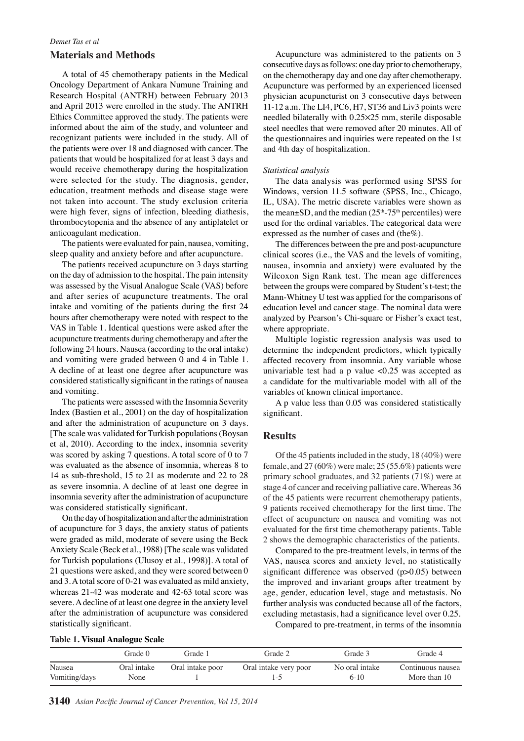## *Demet Tas et al* **Materials and Methods**

A total of 45 chemotherapy patients in the Medical Oncology Department of Ankara Numune Training and Research Hospital (ANTRH) between February 2013 and April 2013 were enrolled in the study. The ANTRH Ethics Committee approved the study. The patients were informed about the aim of the study, and volunteer and recognizant patients were included in the study. All of the patients were over 18 and diagnosed with cancer. The patients that would be hospitalized for at least 3 days and would receive chemotherapy during the hospitalization were selected for the study. The diagnosis, gender, education, treatment methods and disease stage were not taken into account. The study exclusion criteria were high fever, signs of infection, bleeding diathesis, thrombocytopenia and the absence of any antiplatelet or anticoagulant medication.

The patients were evaluated for pain, nausea, vomiting, sleep quality and anxiety before and after acupuncture.

The patients received acupuncture on 3 days starting on the day of admission to the hospital. The pain intensity was assessed by the Visual Analogue Scale (VAS) before and after series of acupuncture treatments. The oral intake and vomiting of the patients during the first 24 hours after chemotherapy were noted with respect to the VAS in Table 1. Identical questions were asked after the acupuncture treatments during chemotherapy and after the following 24 hours. Nausea (according to the oral intake) and vomiting were graded between 0 and 4 in Table 1. A decline of at least one degree after acupuncture was considered statistically significant in the ratings of nausea and vomiting.

The patients were assessed with the Insomnia Severity Index (Bastien et al., 2001) on the day of hospitalization and after the administration of acupuncture on 3 days. [The scale was validated for Turkish populations (Boysan et al, 2010). According to the index, insomnia severity was scored by asking 7 questions. A total score of 0 to 7 was evaluated as the absence of insomnia, whereas 8 to 14 as sub-threshold, 15 to 21 as moderate and 22 to 28 as severe insomnia. A decline of at least one degree in insomnia severity after the administration of acupuncture was considered statistically significant.

On the day of hospitalization and after the administration of acupuncture for 3 days, the anxiety status of patients were graded as mild, moderate of severe using the Beck Anxiety Scale (Beck et al., 1988) [The scale was validated for Turkish populations (Ulusoy et al., 1998)]. A total of 21 questions were asked, and they were scored between 0 and 3. A total score of 0-21 was evaluated as mild anxiety, whereas 21-42 was moderate and 42-63 total score was severe. A decline of at least one degree in the anxiety level after the administration of acupuncture was considered statistically significant.

Acupuncture was administered to the patients on 3 consecutive days as follows: one day prior to chemotherapy, on the chemotherapy day and one day after chemotherapy. Acupuncture was performed by an experienced licensed physician acupuncturist on 3 consecutive days between 11-12 a.m. The LI4, PC6, H7, ST36 and Liv3 points were needled bilaterally with  $0.25 \times 25$  mm, sterile disposable steel needles that were removed after 20 minutes. All of the questionnaires and inquiries were repeated on the 1st and 4th day of hospitalization.

#### *Statistical analysis*

The data analysis was performed using SPSS for Windows, version 11.5 software (SPSS, Inc., Chicago, IL, USA). The metric discrete variables were shown as the mean $\pm$ SD, and the median (25<sup>th</sup>-75<sup>th</sup> percentiles) were used for the ordinal variables. The categorical data were expressed as the number of cases and (the%).

The differences between the pre and post-acupuncture clinical scores (i.e., the VAS and the levels of vomiting, nausea, insomnia and anxiety) were evaluated by the Wilcoxon Sign Rank test. The mean age differences between the groups were compared by Student's t-test; the Mann-Whitney U test was applied for the comparisons of education level and cancer stage. The nominal data were analyzed by Pearson's Chi-square or Fisher's exact test, where appropriate.

Multiple logistic regression analysis was used to determine the independent predictors, which typically affected recovery from insomnia. Any variable whose univariable test had a p value  $< 0.25$  was accepted as a candidate for the multivariable model with all of the variables of known clinical importance.

A p value less than 0.05 was considered statistically significant.

#### **Results**

Of the 45 patients included in the study, 18 (40%) were female, and 27 (60%) were male; 25 (55.6%) patients were primary school graduates, and 32 patients (71%) were at stage 4 of cancer and receiving palliative care. Whereas 36 of the 45 patients were recurrent chemotherapy patients, 9 patients received chemotherapy for the first time. The effect of acupuncture on nausea and vomiting was not evaluated for the first time chemotherapy patients. Table 2 shows the demographic characteristics of the patients.

Compared to the pre-treatment levels, in terms of the VAS, nausea scores and anxiety level, no statistically significant difference was observed (p>0.05) between the improved and invariant groups after treatment by age, gender, education level, stage and metastasis. No further analysis was conducted because all of the factors, excluding metastasis, had a significance level over 0.25. Compared to pre-treatment, in terms of the insomnia

| <b>Table 1. Visual Analogue Scale</b> |  |  |  |  |
|---------------------------------------|--|--|--|--|
|---------------------------------------|--|--|--|--|

|               | Grade 0     | Grade 1          | Grade 2               | Grade 3        | Grade 4           |
|---------------|-------------|------------------|-----------------------|----------------|-------------------|
| Nausea        | Oral intake | Oral intake poor | Oral intake very poor | No oral intake | Continuous nausea |
| Vomiting/days | None        |                  | د .                   | $6-10$         | More than 10      |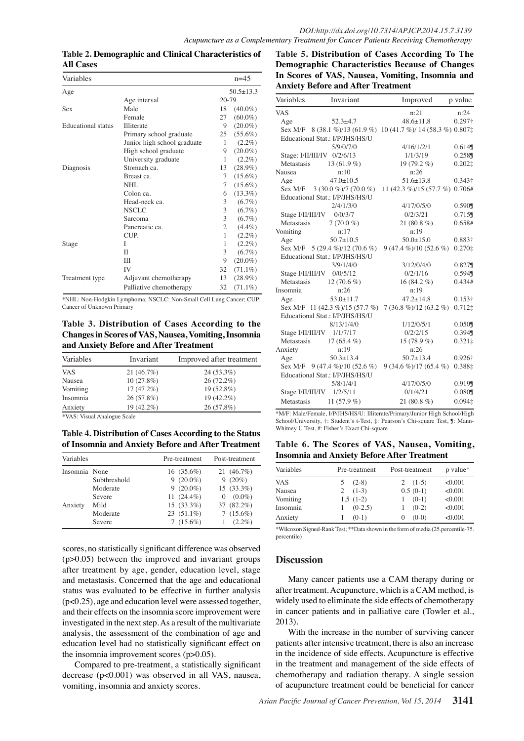| Variables                 |                             |                | $n=4.5$       |  |
|---------------------------|-----------------------------|----------------|---------------|--|
| Age                       |                             |                | $50.5 + 13.3$ |  |
| Age interval              |                             |                | 20-79         |  |
| Sex                       | Male                        | 18             | $(40.0\%)$    |  |
|                           | Female                      | 27             | $(60.0\%)$    |  |
| <b>Educational</b> status | Illiterate                  | 9              | $(20.0\%)$    |  |
|                           | Primary school graduate     | 25             | $(55.6\%)$    |  |
|                           | Junior high school graduate | 1              | $(2.2\%)$     |  |
|                           | High school graduate        | 9              | $(20.0\%)$    |  |
|                           | University graduate         | 1              | $(2.2\%)$     |  |
| Diagnosis                 | Stomach ca.                 | 13             | $(28.9\%)$    |  |
|                           | Breast ca.                  | 7              | $(15.6\%)$    |  |
|                           | NHL                         | 7              | $(15.6\%)$    |  |
|                           | Colon ca.                   | 6              | $(13.3\%)$    |  |
|                           | Head-neck ca.               | 3              | $(6.7\%)$     |  |
|                           | NSCLC                       | 3              | $(6.7\%)$     |  |
|                           | Sarcoma                     | 3              | $(6.7\%)$     |  |
|                           | Pancreatic ca.              | $\overline{c}$ | $(4.4\%)$     |  |
|                           | CUP.                        | 1              | $(2.2\%)$     |  |
| Stage                     | L                           | 1              | $(2.2\%)$     |  |
|                           | П                           | 3              | $(6.7\%)$     |  |
|                           | Ш                           | 9              | $(20.0\%)$    |  |
|                           | IV                          | 32             | $(71.1\%)$    |  |
| Treatment type            | Adjuvant chemotherapy       | 13             | $(28.9\%)$    |  |
|                           | Palliative chemotherapy     | 32             | $(71.1\%)$    |  |

**Table 2. Demographic and Clinical Characteristics of All Cases** 

\*NHL: Non-Hodgkin Lymphoma; NSCLC: Non-Small Cell Lung Cancer; CUP: Cancer of Unknown Primary

**Table 3. Distribution of Cases According to the Changes in Scores of VAS, Nausea, Vomiting, Insomnia and Anxiety Before and After Treatment**

| Variables  | Invariant    | Improved after treatment |
|------------|--------------|--------------------------|
| <b>VAS</b> | 21(46.7%)    | $24(53.3\%)$             |
| Nausea     | $10(27.8\%)$ | 26 (72.2%)               |
| Vomiting   | $17(47.2\%)$ | 19 (52.8%)               |
| Insomnia   | 26(57.8%)    | 19 (42.2%)               |
| Anxiety    | 19 (42.2%)   | $26(57.8\%)$             |

\*VAS: Visual Analogue Scale

**Table 4. Distribution of Cases According to the Status of Insomnia and Anxiety Before and After Treatment**

| Variables     |              | Pre-treatment | Post-treatment        |
|---------------|--------------|---------------|-----------------------|
| Insomnia None |              | $16(35.6\%)$  | 21 $(46.7\%)$         |
|               | Subthreshold | $9(20.0\%)$   | 9 $(20\%)$            |
|               | Moderate     | $9(20.0\%)$   | $15(33.3\%)$          |
|               | Severe       | 11 $(24.4\%)$ | $(0.0\%)$<br>$\Omega$ |
| Anxiety       | Mild         | $15(33.3\%)$  | 37 (82.2%)            |
|               | Moderate     | $23(51.1\%)$  | 7 $(15.6\%)$          |
|               | Severe       | $7(15.6\%)$   | $(2.2\%)$             |

scores, no statistically significant difference was observed (p>0.05) between the improved and invariant groups after treatment by age, gender, education level, stage and metastasis. Concerned that the age and educational status was evaluated to be effective in further analysis (p<0.25), age and education level were assessed together, and their effects on the insomnia score improvement were investigated in the next step. As a result of the multivariate analysis, the assessment of the combination of age and education level had no statistically significant effect on the insomnia improvement scores (p>0.05).

Compared to pre-treatment, a statistically significant decrease (p<0.001) was observed in all VAS, nausea, vomiting, insomnia and anxiety scores.

**Table 5. Distribution of Cases According To The Demographic Characteristics Because of Changes In Scores of VAS, Nausea, Vomiting, Insomnia and Anxiety Before and After Treatment**

| Variables                   | Invariant                       | Improved                                                                 | p value        |
|-----------------------------|---------------------------------|--------------------------------------------------------------------------|----------------|
| <b>VAS</b>                  |                                 | n:21                                                                     | n:24           |
| Age                         | $52.3 + 4.7$                    | $48.6 + 11.8$                                                            | $0.297\dagger$ |
|                             |                                 | Sex M/F 8 (38.1 %)/13 (61.9 %) 10 (41.7 %)/ 14 (58.3 %) 0.807 $\ddagger$ |                |
|                             | Educational Stat.: I/P/JHS/HS/U |                                                                          |                |
|                             | 5/9/0/7/0                       | 4/16/1/2/1                                                               | 0.614          |
| Stage: I/II/III/IV 0/2/6/13 |                                 | 1/1/3/19                                                                 | 0.258          |
| Metastasis                  | 13 $(61.9\%)$                   | 19 $(79.2\% )$                                                           | $0.202$ ‡      |
| Nausea                      | n:10                            | n:26                                                                     |                |
| Age                         | $47.0 + 10.5$                   | $51.6 + 13.8$                                                            | 0.343†         |
|                             | Sex M/F $3(30.0\%)/7(70.0\%)$   | 11 (42.3 %)/15 (57.7 %) 0.706#                                           |                |
|                             | Educational Stat.: I/P/JHS/HS/U |                                                                          |                |
|                             | 2/4/1/3/0                       | 4/17/0/5/0                                                               | 0.590          |
| Stage I/II/III/IV 0/0/3/7   |                                 | 0/2/3/21                                                                 | 0.715          |
| Metastasis                  | $7(70.0\%)$                     | 21 $(80.8\%)$                                                            | 0.658#         |
| Vomiting                    | n:17                            | n:19                                                                     |                |
| Age                         | $50.7 \pm 10.5$                 | $50.0 \pm 15.0$                                                          | 0.883+         |
|                             | Sex M/F $5(29.4\%)/12(70.6\%)$  | 9 (47.4 %)/10 (52.6 %) 0.270 $\ddagger$                                  |                |
|                             | Educational Stat.: I/P/JHS/HS/U |                                                                          |                |
|                             | 3/9/1/4/0                       | 3/12/0/4/0                                                               | 0.827          |
| Stage I/II/III/IV 0/0/5/12  |                                 | 0/2/1/16                                                                 | 0.594          |
| Metastasis                  | 12 $(70.6\%)$                   | $16(84.2\%)$                                                             | 0.434#         |
| Insomnia                    | n:26                            | n:19                                                                     |                |
| Age                         | $53.0 \pm 11.7$                 | $47.2 + 14.8$                                                            | $0.153\dagger$ |
|                             | Sex M/F 11 (42.3 %)/15 (57.7 %) | $7(36.8\%)/12(63.2\%)$                                                   | 0.712‡         |
|                             | Educational Stat.: I/P/JHS/HS/U |                                                                          |                |
|                             | 8/13/1/4/0                      | 1/12/0/5/1                                                               | 0.050          |
| Stage I/II/III/IV 1/1/7/17  |                                 | 0/2/2/15                                                                 | 0.394          |
| Metastasis                  | 17 $(65.4\% )$                  | 15 $(78.9\%)$                                                            | 0.321‡         |
| Anxiety                     | n:19                            | n:26                                                                     |                |
| Age                         | $50.3 \pm 13.4$                 | $50.7 \pm 13.4$                                                          | 0.926†         |
|                             | Sex M/F $9(47.4\%)/10(52.6\%)$  | $9(34.6\%)/17(65.4\%)$                                                   | 0.388‡         |
|                             | Educational Stat.: I/P/JHS/HS/U |                                                                          |                |
|                             | 5/8/1/4/1                       | 4/17/0/5/0                                                               | 0.919          |
| Stage I/II/III/IV 1/2/5/11  |                                 | 0/1/4/21                                                                 | 0.080          |
| Metastasis                  | 11 $(57.9%$                     | 21 $(80.8\%)$                                                            | $0.094$ ±      |

\*M/F: Male/Female, I/P/JHS/HS/U: Illiterate/Primary/Junior High School/High School/University, †: Student's t-Test, ‡: Pearson's Chi-square Test, ¶: Mann-Whitney U Test, #: Fisher's Exact Chi-square

**Table 6. The Scores of VAS, Nausea, Vomiting, Insomnia and Anxiety Before After Treatment**

| Variables  | Pre-treatment | Post-treatment | p value* |
|------------|---------------|----------------|----------|
| <b>VAS</b> | $(2-8)$       | 2 $(1-5)$      | < 0.001  |
| Nausea     | $(1-3)$       | $0.5(0-1)$     | < 0.001  |
| Vomiting   | $1.5(1-2)$    | $(0-1)$        | < 0.001  |
| Insomnia   | $(0-2.5)$     | $(0-2)$        | < 0.001  |
| Anxiety    | $(0-1)$       | $(0-0)$        | < 0.001  |

\*Wilcoxon Signed-Rank Test; \*\*Data shown in the form of media (25.percentile-75. percentile)

## **Discussion**

Many cancer patients use a CAM therapy during or after treatment. Acupuncture, which is a CAM method, is widely used to eliminate the side effects of chemotherapy in cancer patients and in palliative care (Towler et al., 2013).

With the increase in the number of surviving cancer patients after intensive treatment, there is also an increase in the incidence of side effects. Acupuncture is effective in the treatment and management of the side effects of chemotherapy and radiation therapy. A single session of acupuncture treatment could be beneficial for cancer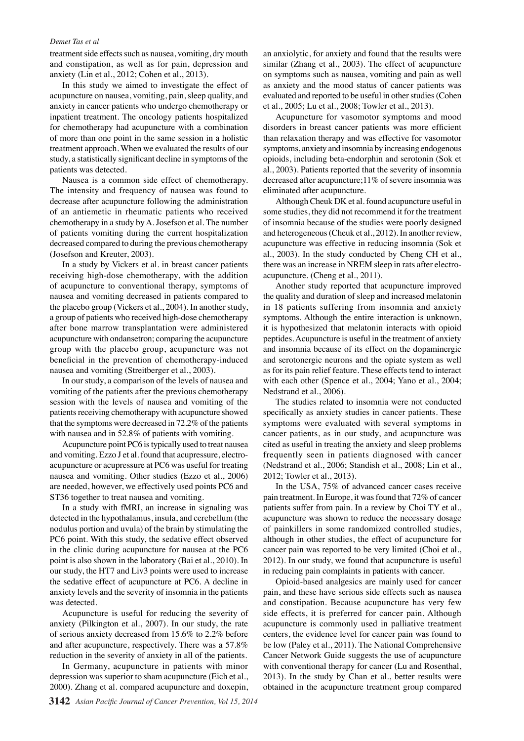#### *Demet Tas et al*

treatment side effects such as nausea, vomiting, dry mouth and constipation, as well as for pain, depression and anxiety (Lin et al., 2012; Cohen et al., 2013).

In this study we aimed to investigate the effect of acupuncture on nausea, vomiting, pain, sleep quality, and anxiety in cancer patients who undergo chemotherapy or inpatient treatment. The oncology patients hospitalized for chemotherapy had acupuncture with a combination of more than one point in the same session in a holistic treatment approach. When we evaluated the results of our study, a statistically significant decline in symptoms of the patients was detected.

Nausea is a common side effect of chemotherapy. The intensity and frequency of nausea was found to decrease after acupuncture following the administration of an antiemetic in rheumatic patients who received chemotherapy in a study by A. Josefson et al. The number of patients vomiting during the current hospitalization decreased compared to during the previous chemotherapy (Josefson and Kreuter, 2003).

In a study by Vickers et al. in breast cancer patients receiving high-dose chemotherapy, with the addition of acupuncture to conventional therapy, symptoms of nausea and vomiting decreased in patients compared to the placebo group (Vickers et al., 2004). In another study, a group of patients who received high-dose chemotherapy after bone marrow transplantation were administered acupuncture with ondansetron; comparing the acupuncture group with the placebo group, acupuncture was not beneficial in the prevention of chemotherapy-induced nausea and vomiting (Streitberger et al., 2003).

In our study, a comparison of the levels of nausea and vomiting of the patients after the previous chemotherapy session with the levels of nausea and vomiting of the patients receiving chemotherapy with acupuncture showed that the symptoms were decreased in 72.2% of the patients with nausea and in 52.8% of patients with vomiting.

Acupuncture point PC6 is typically used to treat nausea and vomiting. Ezzo J et al. found that acupressure, electroacupuncture or acupressure at PC6 was useful for treating nausea and vomiting. Other studies (Ezzo et al., 2006) are needed, however, we effectively used points PC6 and ST36 together to treat nausea and vomiting.

In a study with fMRI, an increase in signaling was detected in the hypothalamus, insula, and cerebellum (the nodulus portion and uvula) of the brain by stimulating the PC6 point. With this study, the sedative effect observed in the clinic during acupuncture for nausea at the PC6 point is also shown in the laboratory (Bai et al., 2010). In our study, the HT7 and Liv3 points were used to increase the sedative effect of acupuncture at PC6. A decline in anxiety levels and the severity of insomnia in the patients was detected.

Acupuncture is useful for reducing the severity of anxiety (Pilkington et al., 2007). In our study, the rate of serious anxiety decreased from 15.6% to 2.2% before and after acupuncture, respectively. There was a 57.8% reduction in the severity of anxiety in all of the patients.

In Germany, acupuncture in patients with minor depression was superior to sham acupuncture (Eich et al., 2000). Zhang et al. compared acupuncture and doxepin,

an anxiolytic, for anxiety and found that the results were similar (Zhang et al., 2003). The effect of acupuncture on symptoms such as nausea, vomiting and pain as well as anxiety and the mood status of cancer patients was evaluated and reported to be useful in other studies (Cohen et al., 2005; Lu et al., 2008; Towler et al., 2013).

Acupuncture for vasomotor symptoms and mood disorders in breast cancer patients was more efficient than relaxation therapy and was effective for vasomotor symptoms, anxiety and insomnia by increasing endogenous opioids, including beta-endorphin and serotonin (Sok et al., 2003). Patients reported that the severity of insomnia decreased after acupuncture;11% of severe insomnia was eliminated after acupuncture.

Although Cheuk DK et al. found acupuncture useful in some studies, they did not recommend it for the treatment of insomnia because of the studies were poorly designed and heterogeneous (Cheuk et al., 2012). In another review, acupuncture was effective in reducing insomnia (Sok et al., 2003). In the study conducted by Cheng CH et al., there was an increase in NREM sleep in rats after electroacupuncture. (Cheng et al., 2011).

Another study reported that acupuncture improved the quality and duration of sleep and increased melatonin in 18 patients suffering from insomnia and anxiety symptoms. Although the entire interaction is unknown, it is hypothesized that melatonin interacts with opioid peptides. Acupuncture is useful in the treatment of anxiety and insomnia because of its effect on the dopaminergic and serotonergic neurons and the opiate system as well as for its pain relief feature. These effects tend to interact with each other (Spence et al., 2004; Yano et al., 2004; Nedstrand et al., 2006).

The studies related to insomnia were not conducted specifically as anxiety studies in cancer patients. These symptoms were evaluated with several symptoms in cancer patients, as in our study, and acupuncture was cited as useful in treating the anxiety and sleep problems frequently seen in patients diagnosed with cancer (Nedstrand et al., 2006; Standish et al., 2008; Lin et al., 2012; Towler et al., 2013).

In the USA, 75% of advanced cancer cases receive pain treatment. In Europe, it was found that 72% of cancer patients suffer from pain. In a review by Choi TY et al., acupuncture was shown to reduce the necessary dosage of painkillers in some randomized controlled studies, although in other studies, the effect of acupuncture for cancer pain was reported to be very limited (Choi et al., 2012). In our study, we found that acupuncture is useful in reducing pain complaints in patients with cancer.

Opioid-based analgesics are mainly used for cancer pain, and these have serious side effects such as nausea and constipation. Because acupuncture has very few side effects, it is preferred for cancer pain. Although acupuncture is commonly used in palliative treatment centers, the evidence level for cancer pain was found to be low (Paley et al., 2011). The National Comprehensive Cancer Network Guide suggests the use of acupuncture with conventional therapy for cancer (Lu and Rosenthal, 2013). In the study by Chan et al., better results were obtained in the acupuncture treatment group compared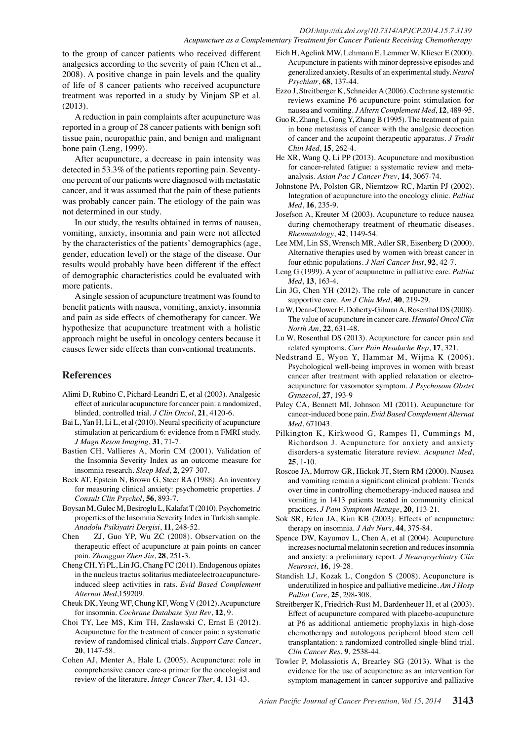#### *DOI:http://dx.doi.org/10.7314/APJCP.2014.15.7.3139 Acupuncture as a Complementary Treatment for Cancer Patients Receiving Chemotherapy*

to the group of cancer patients who received different analgesics according to the severity of pain (Chen et al., 2008). A positive change in pain levels and the quality of life of 8 cancer patients who received acupuncture treatment was reported in a study by Vinjam SP et al. (2013).

A reduction in pain complaints after acupuncture was reported in a group of 28 cancer patients with benign soft tissue pain, neuropathic pain, and benign and malignant bone pain (Leng, 1999).

After acupuncture, a decrease in pain intensity was detected in 53.3% of the patients reporting pain. Seventyone percent of our patients were diagnosed with metastatic cancer, and it was assumed that the pain of these patients was probably cancer pain. The etiology of the pain was not determined in our study.

In our study, the results obtained in terms of nausea, vomiting, anxiety, insomnia and pain were not affected by the characteristics of the patients' demographics (age, gender, education level) or the stage of the disease. Our results would probably have been different if the effect of demographic characteristics could be evaluated with more patients.

A single session of acupuncture treatment was found to benefit patients with nausea, vomiting, anxiety, insomnia and pain as side effects of chemotherapy for cancer. We hypothesize that acupuncture treatment with a holistic approach might be useful in oncology centers because it causes fewer side effects than conventional treatments.

## **References**

- Alimi D, Rubino C, Pichard-Leandri E, et al (2003). Analgesic effect of auricular acupuncture for cancer pain: a randomized, blinded, controlled trial. *J Clin Oncol*, **21**, 4120-6.
- Bai L, Yan H, Li L, et al (2010). Neural specificity of acupuncture stimulation at pericardium 6: evidence from n FMRI study. *J Magn Reson Imaging*, **31**, 71-7.
- Bastien CH, Vallieres A, Morin CM (2001). Validation of the Insomnia Severity Index as an outcome measure for insomnia research. *Sleep Med*, **2**, 297-307.
- Beck AT, Epstein N, Brown G, Steer RA (1988). An inventory for measuring clinical anxiety: psychometric properties. *J Consult Clin Psychol*, **56**, 893-7.
- Boysan M, Gulec M, Besiroglu L, Kalafat T (2010). Psychometric properties of the Insomnia Severity Index in Turkish sample. *Anadolu Psikiyatri Dergisi*, **11**, 248-52.
- Chen ZJ, Guo YP, Wu ZC (2008). Observation on the therapeutic effect of acupuncture at pain points on cancer pain. *Zhongguo Zhen Jiu*, **28**, 251-3.
- Cheng CH, Yi PL, Lin JG, Chang FC (2011). Endogenous opiates in the nucleus tractus solitarius mediateelectroacupunctureinduced sleep activities in rats. *Evid Based Complement Alternat Med*,159209.
- Cheuk DK, Yeung WF, Chung KF, Wong V (2012). Acupuncture for insomnia. *Cochrane Database Syst Rev*, **12**, 9.
- Choi TY, Lee MS, Kim TH, Zaslawski C, Ernst E (2012). Acupuncture for the treatment of cancer pain: a systematic review of randomised clinical trials. *Support Care Cancer*, **20**, 1147-58.
- Cohen AJ, Menter A, Hale L (2005). Acupuncture: role in comprehensive cancer care-a primer for the oncologist and review of the literature. *Integr Cancer Ther*, **4**, 131-43.
- Eich H, Agelink MW, Lehmann E, Lemmer W, Klieser E (2000). Acupuncture in patients with minor depressive episodes and generalized anxiety. Results of an experimental study. *Neurol Psychiatr*, **68**, 137-44.
- Ezzo J, Streitberger K, Schneider A (2006). Cochrane systematic reviews examine P6 acupuncture-point stimulation for nausea and vomiting. *J Altern Complement Med*, **12**, 489-95.
- Guo R, Zhang L, Gong Y, Zhang B (1995). The treatment of pain in bone metastasis of cancer with the analgesic decoction of cancer and the acupoint therapeutic apparatus. *J Tradit Chin Med*, **15**, 262-4.
- He XR, Wang Q, Li PP (2013). Acupuncture and moxibustion for cancer-related fatigue: a systematic review and metaanalysis. *Asian Pac J Cancer Prev*, **14**, 3067-74.
- Johnstone PA, Polston GR, Niemtzow RC, Martin PJ (2002). Integration of acupuncture into the oncology clinic. *Palliat Med*, **16**, 235-9.
- Josefson A, Kreuter M (2003). Acupuncture to reduce nausea during chemotherapy treatment of rheumatic diseases. *Rheumatology*, **42**, 1149-54.
- Lee MM, Lin SS, Wrensch MR, Adler SR, Eisenberg D (2000). Alternative therapies used by women with breast cancer in four ethnic populations. *J Natl Cancer Inst*, **92**, 42-7.
- Leng G (1999). A year of acupuncture in palliative care. *Palliat Med*, **13**, 163-4.
- Lin JG, Chen YH (2012). The role of acupuncture in cancer supportive care. *Am J Chin Med*, **40**, 219-29.
- Lu W, Dean-Clower E, Doherty-Gilman A, Rosenthal DS (2008). The value of acupuncture in cancer care. *Hematol Oncol Clin North Am*, **22**, 631-48.
- Lu W, Rosenthal DS (2013). Acupuncture for cancer pain and related symptoms. *Curr Pain Headache Rep*, **17**, 321.
- Nedstrand E, Wyon Y, Hammar M, Wijma K (2006). Psychological well-being improves in women with breast cancer after treatment with applied relaxation or electroacupuncture for vasomotor symptom. *J Psychosom Obstet Gynaecol*, **27**, 193-9
- Paley CA, Bennett MI, Johnson MI (2011). Acupuncture for cancer-induced bone pain. *Evid Based Complement Alternat Med*, 671043.
- Pilkington K, Kirkwood G, Rampes H, Cummings M, Richardson J. Acupuncture for anxiety and anxiety disorders-a systematic literature review. *Acupunct Med*, **25**, 1-10.
- Roscoe JA, Morrow GR, Hickok JT, Stern RM (2000). Nausea and vomiting remain a significant clinical problem: Trends over time in controlling chemotherapy-induced nausea and vomiting in 1413 patients treated in community clinical practices. *J Pain Symptom Manage*, **20**, 113-21.
- Sok SR, Erlen JA, Kim KB (2003). Effects of acupuncture therapy on insomnia. *J Adv Nurs*, **44**, 375-84.
- Spence DW, Kayumov L, Chen A, et al (2004). Acupuncture increases nocturnal melatonin secretion and reduces insomnia and anxiety: a preliminary report. *J Neuropsychiatry Clin Neurosci*, **16**, 19-28.
- Standish LJ, Kozak L, Congdon S (2008). Acupuncture is underutilized in hospice and palliative medicine. *Am J Hosp Palliat Care*, **25**, 298-308.
- Streitberger K, Friedrich-Rust M, Bardenheuer H, et al (2003). Effect of acupuncture compared with placebo-acupuncture at P6 as additional antiemetic prophylaxis in high-dose chemotherapy and autologous peripheral blood stem cell transplantation: a randomized controlled single-blind trial. *Clin Cancer Res*, **9**, 2538-44.
- Towler P, Molassiotis A, Brearley SG (2013). What is the evidence for the use of acupuncture as an intervention for symptom management in cancer supportive and palliative